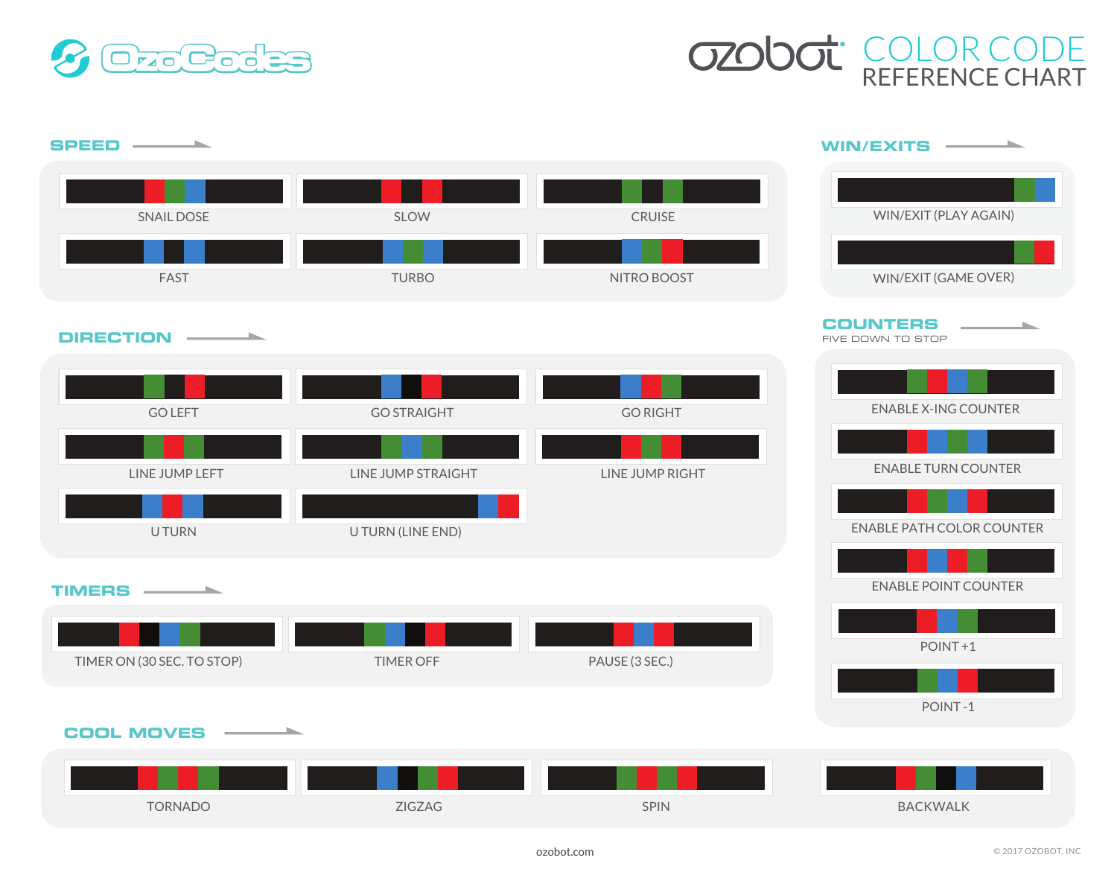